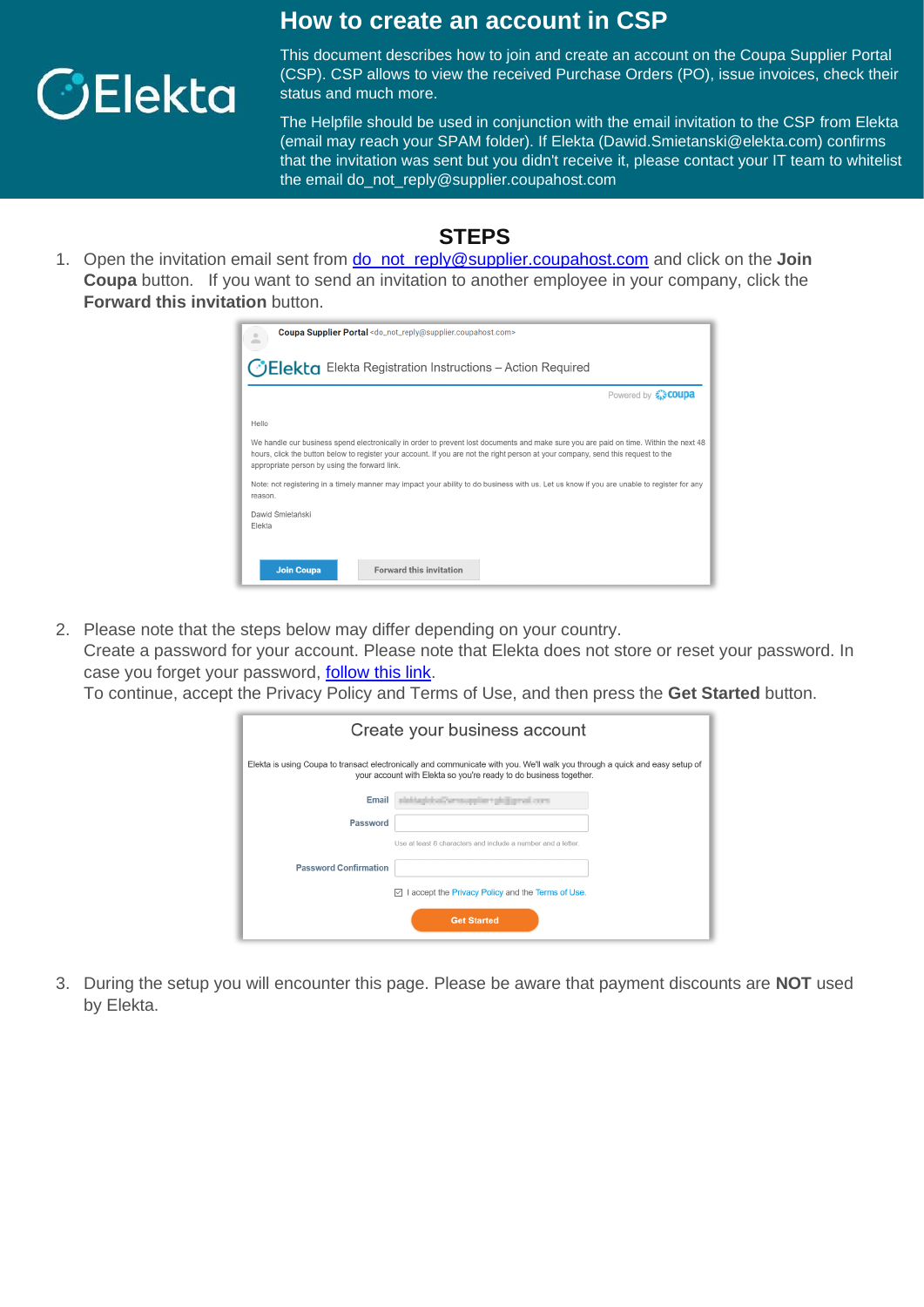

## **How to create an account in CSP**

This document describes how to join and create an account on the Coupa Supplier Portal (CSP). CSP allows to view the received Purchase Orders (PO), issue invoices, check their status and much more.

The Helpfile should be used in conjunction with the email invitation to the CSP from Elekta (email may reach your SPAM folder). If Elekta (Dawid.Smietanski@elekta.com) confirms that the invitation was sent but you didn't receive it, please contact your IT team to whitelist the email do\_not\_reply@supplier.coupahost.com

## **STEPS**

1. Open the invitation email sent from **do\_not\_reply@supplier.coupahost.com** and click on the **Join Coupa** button. If you want to send an invitation to another employee in your company, click the **Forward this invitation** button.

| Coupa Supplier Portal <do_not_reply@supplier.coupahost.com><br/><math>\circ</math></do_not_reply@supplier.coupahost.com>                                                                                                                                                                                                    |
|-----------------------------------------------------------------------------------------------------------------------------------------------------------------------------------------------------------------------------------------------------------------------------------------------------------------------------|
| <b>CElekta</b> Elekta Registration Instructions - Action Required                                                                                                                                                                                                                                                           |
| Powered by <b>Excoupa</b>                                                                                                                                                                                                                                                                                                   |
| Hello                                                                                                                                                                                                                                                                                                                       |
| We handle our business spend electronically in order to prevent lost documents and make sure you are paid on time. Within the next 48<br>hours, click the button below to register your account. If you are not the right person at your company, send this request to the<br>appropriate person by using the forward link. |
| Note: not registering in a timely manner may impact your ability to do business with us. Let us know if you are unable to register for any<br>reason.                                                                                                                                                                       |
| Dawid Śmietański<br>Elekta                                                                                                                                                                                                                                                                                                  |
|                                                                                                                                                                                                                                                                                                                             |
| <b>Forward this invitation</b><br><b>Join Coupa</b>                                                                                                                                                                                                                                                                         |

2. Please note that the steps below may differ depending on your country.

Create a password for your account. Please note that Elekta does not store or reset your password. In case you forget your password, [follow this link.](https://supplier-test.coupahost.com/forgot_password)

To continue, accept the Privacy Policy and Terms of Use, and then press the **Get Started** button.

| Create your business account |                                                                                                                                                                                                  |  |
|------------------------------|--------------------------------------------------------------------------------------------------------------------------------------------------------------------------------------------------|--|
|                              | Elekta is using Coupa to transact electronically and communicate with you. We'll walk you through a quick and easy setup of<br>your account with Elekta so you're ready to do business together. |  |
| Email                        | stati Augilobal Zurnsuppliert philliprusi Joons                                                                                                                                                  |  |
| Password                     |                                                                                                                                                                                                  |  |
|                              | Use at least 8 characters and include a number and a letter                                                                                                                                      |  |
| <b>Password Confirmation</b> |                                                                                                                                                                                                  |  |
|                              | I accept the Privacy Policy and the Terms of Use.<br>☑                                                                                                                                           |  |
|                              | <b>Get Started</b>                                                                                                                                                                               |  |
|                              |                                                                                                                                                                                                  |  |

3. During the setup you will encounter this page. Please be aware that payment discounts are **NOT** used by Elekta.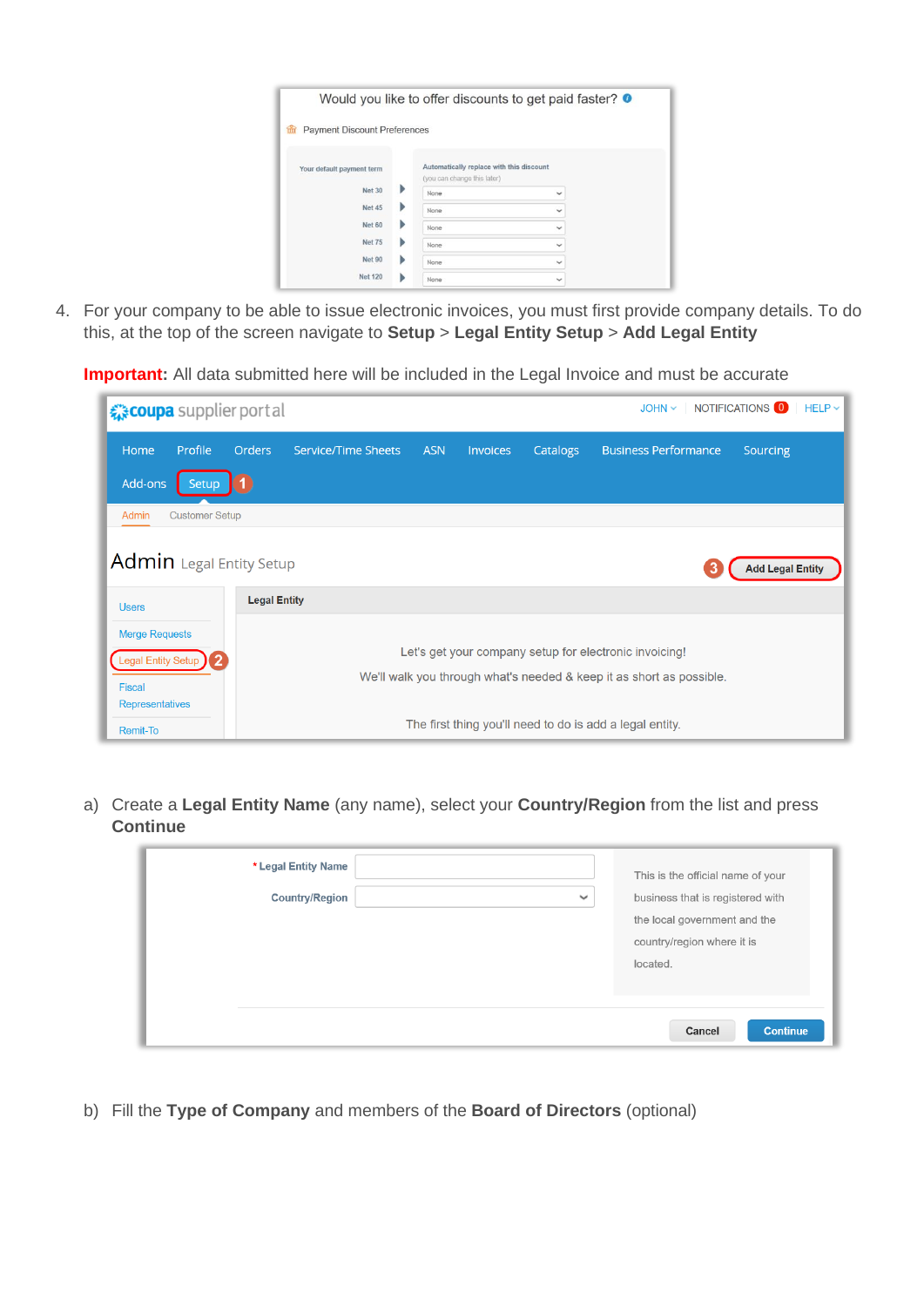|                                          |                                                                         | Would you like to offer discounts to get paid faster? <sup>o</sup> |
|------------------------------------------|-------------------------------------------------------------------------|--------------------------------------------------------------------|
| <b>Payment Discount Preferences</b><br>m |                                                                         |                                                                    |
| Your default payment term                | Automatically replace with this discount<br>(you can change this later) |                                                                    |
| Þ<br><b>Net 30</b>                       | None                                                                    | $\checkmark$                                                       |
| <b>Net 45</b><br>Þ                       | None                                                                    | $\checkmark$                                                       |
| <b>Net 60</b><br>Þ                       | None                                                                    | $\checkmark$                                                       |
| <b>Net 75</b><br>Þ                       | None                                                                    | $\checkmark$                                                       |
| <b>Net 90</b><br>Þ                       | None                                                                    | $\checkmark$                                                       |
| <b>Net 120</b>                           | None                                                                    | $\checkmark$                                                       |

4. For your company to be able to issue electronic invoices, you must first provide company details. To do this, at the top of the screen navigate to **Setup** > **Legal Entity Setup** > **Add Legal Entity**

**Important:** All data submitted here will be included in the Legal Invoice and must be accurate

| <i>द</i> ु <b>coupa</b> supplier portal                                    |                       |                     |                            |            |          |          | JOHN V   NOTIFICATIONS 0                                                                                                       |                         | $HELP \sim$ |
|----------------------------------------------------------------------------|-----------------------|---------------------|----------------------------|------------|----------|----------|--------------------------------------------------------------------------------------------------------------------------------|-------------------------|-------------|
| Home                                                                       | <b>Profile</b>        | <b>Orders</b>       | <b>Service/Time Sheets</b> | <b>ASN</b> | Invoices | Catalogs | <b>Business Performance</b>                                                                                                    | Sourcing                |             |
| Add-ons                                                                    | <b>Setup</b>          |                     |                            |            |          |          |                                                                                                                                |                         |             |
| Admin                                                                      | <b>Customer Setup</b> |                     |                            |            |          |          |                                                                                                                                |                         |             |
| Admin Legal Entity Setup                                                   |                       |                     |                            |            |          |          |                                                                                                                                | <b>Add Legal Entity</b> |             |
| <b>Users</b>                                                               |                       | <b>Legal Entity</b> |                            |            |          |          |                                                                                                                                |                         |             |
| <b>Merge Requests</b><br>Legal Entity Setup )<br>Fiscal<br>Representatives | $\overline{2}$        |                     |                            |            |          |          | Let's get your company setup for electronic invoicing!<br>We'll walk you through what's needed & keep it as short as possible. |                         |             |
| <b>Remit-To</b>                                                            |                       |                     |                            |            |          |          | The first thing you'll need to do is add a legal entity.                                                                       |                         |             |

a) Create a **Legal Entity Name** (any name), select your **Country/Region** from the list and press **Continue**

| * Legal Entity Name<br><b>Country/Region</b> | $\checkmark$ | This is the official name of your<br>business that is registered with<br>the local government and the<br>country/region where it is<br>located. |
|----------------------------------------------|--------------|-------------------------------------------------------------------------------------------------------------------------------------------------|
|                                              |              | Cancel<br><b>Continue</b>                                                                                                                       |

b) Fill the **Type of Company** and members of the **Board of Directors** (optional)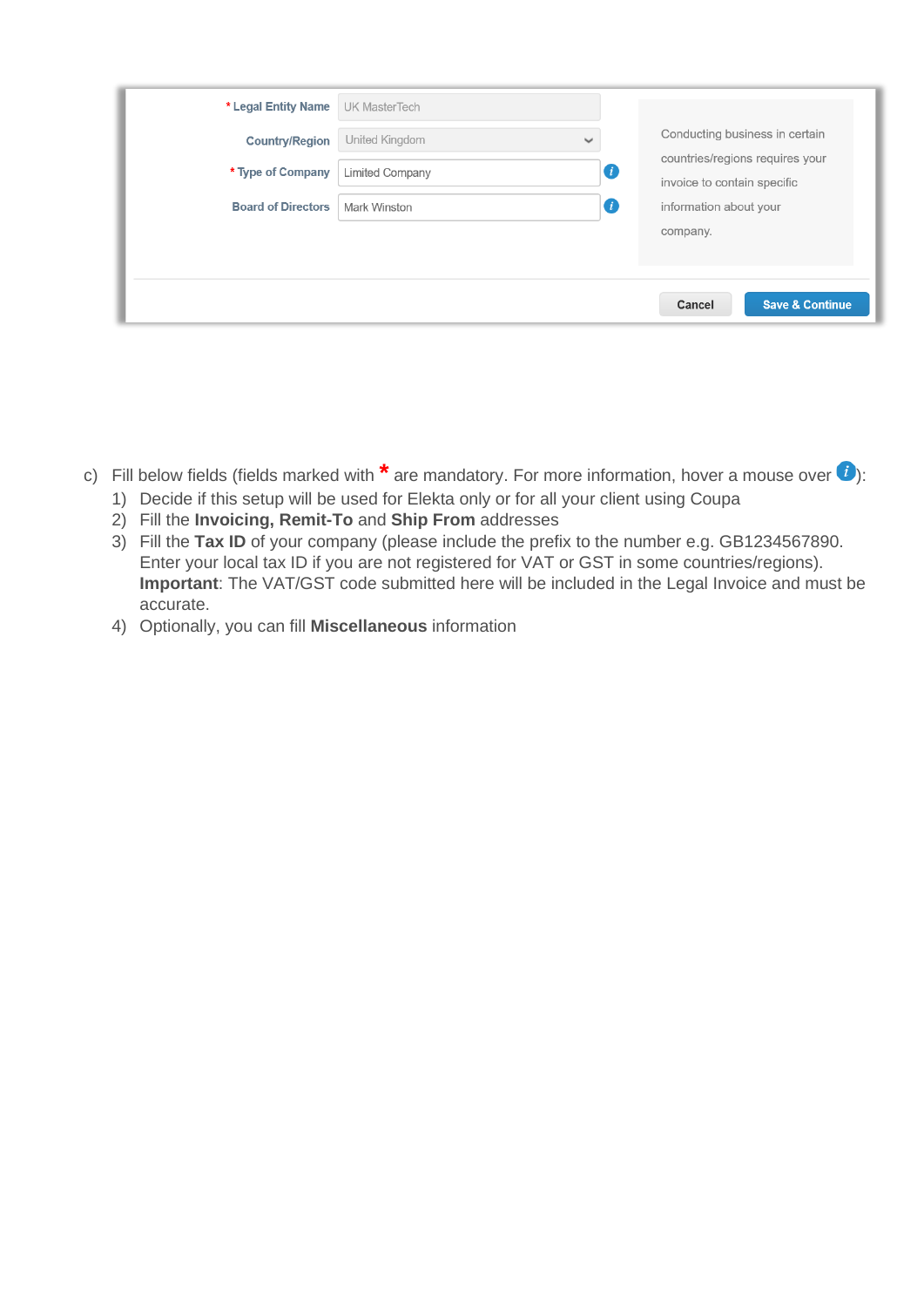| * Legal Entity Name       | <b>UK MasterTech</b> |              |                  |                                                                |
|---------------------------|----------------------|--------------|------------------|----------------------------------------------------------------|
| <b>Country/Region</b>     | United Kingdom       | $\checkmark$ |                  | Conducting business in certain                                 |
| * Type of Company         | Limited Company      |              | $\bullet$        | countries/regions requires your<br>invoice to contain specific |
| <b>Board of Directors</b> | Mark Winston         |              | $\boldsymbol{d}$ | information about your                                         |
|                           |                      |              |                  | company.                                                       |
|                           |                      |              |                  |                                                                |
|                           |                      |              |                  | <b>Save &amp; Continue</b><br>Cancel                           |

- c) Fill below fields (fields marked with **\*** are mandatory. For more information, hover a mouse over *i*):
	- 1) Decide if this setup will be used for Elekta only or for all your client using Coupa
	- 2) Fill the **Invoicing, Remit-To** and **Ship From** addresses
	- 3) Fill the **Tax ID** of your company (please include the prefix to the number e.g. GB1234567890. Enter your local tax ID if you are not registered for VAT or GST in some countries/regions). **Important**: The VAT/GST code submitted here will be included in the Legal Invoice and must be accurate.
	- 4) Optionally, you can fill **Miscellaneous** information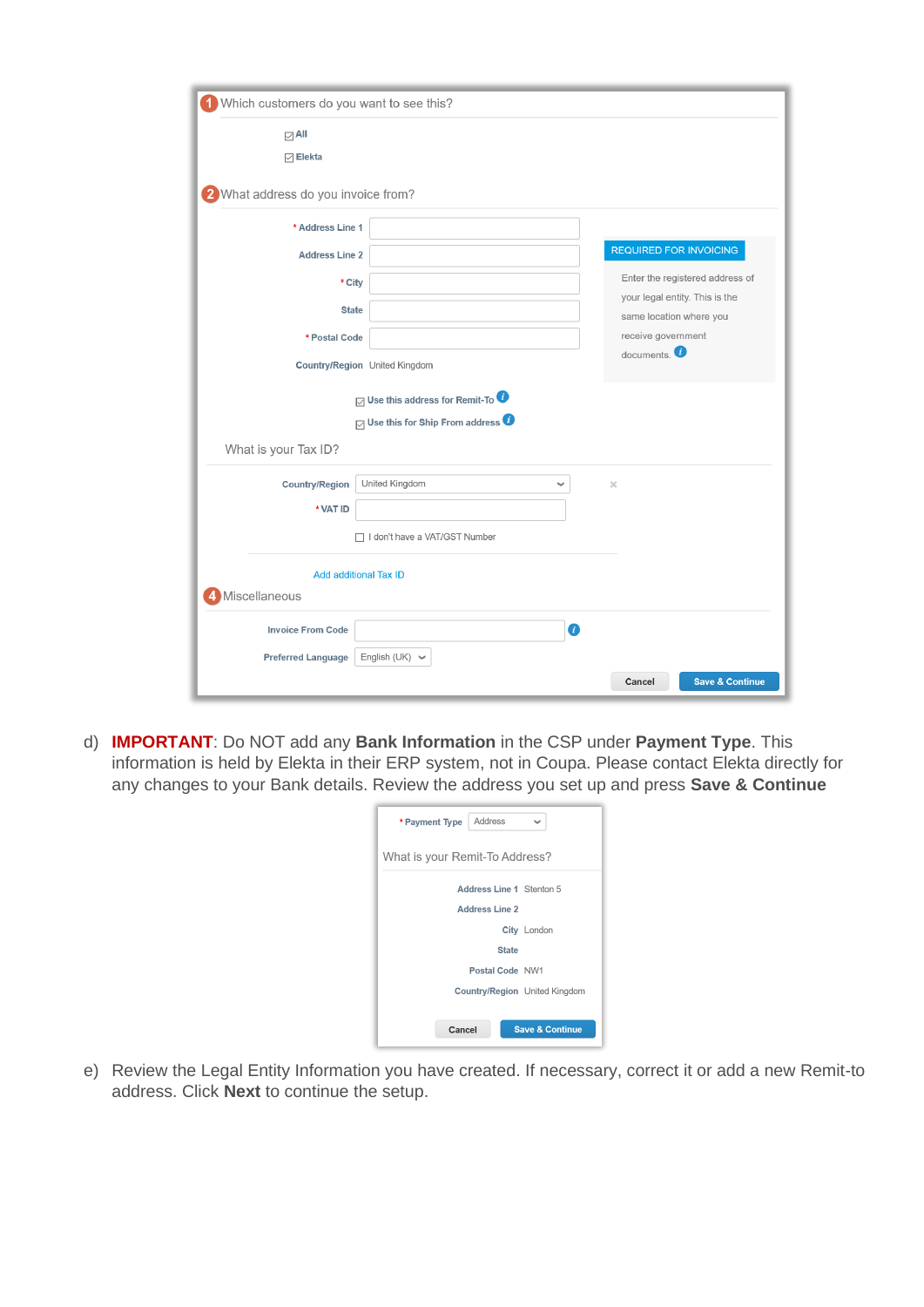| Which customers do you want to see this?           |                                                                   |
|----------------------------------------------------|-------------------------------------------------------------------|
| $\boxdot$ All<br>$\boxdot$ Elekta                  |                                                                   |
|                                                    |                                                                   |
| 2 What address do you invoice from?                |                                                                   |
| * Address Line 1                                   |                                                                   |
| <b>Address Line 2</b>                              | <b>REQUIRED FOR INVOICING</b>                                     |
| * City                                             | Enter the registered address of<br>your legal entity. This is the |
| <b>State</b>                                       | same location where you                                           |
| * Postal Code                                      | receive government<br>documents. $\bullet$                        |
| Country/Region United Kingdom                      |                                                                   |
| $\boxdot$ Use this address for Remit-To $\bullet$  |                                                                   |
| $\boxdot$ Use this for Ship From address $\bullet$ |                                                                   |
| What is your Tax ID?                               |                                                                   |
| United Kingdom<br><b>Country/Region</b>            | $\times$<br>◡                                                     |
| * VAT ID                                           |                                                                   |
| □ I don't have a VAT/GST Number                    |                                                                   |
| <b>Add additional Tax ID</b>                       |                                                                   |
| Miscellaneous                                      |                                                                   |
| <b>Invoice From Code</b>                           | $\bullet$                                                         |
| English (UK) $\vee$<br><b>Preferred Language</b>   |                                                                   |
|                                                    | <b>Save &amp; Continue</b><br>Cancel                              |

d) **IMPORTANT**: Do NOT add any **Bank Information** in the CSP under **Payment Type**. This information is held by Elekta in their ERP system, not in Coupa. Please contact Elekta directly for any changes to your Bank details. Review the address you set up and press **Save & Continue**

| Address<br>* Payment Type            | $\checkmark$               |
|--------------------------------------|----------------------------|
| What is your Remit-To Address?       |                            |
| Address Line 1 Stenton 5             |                            |
| <b>Address Line 2</b>                |                            |
|                                      | City London                |
| <b>State</b>                         |                            |
| Postal Code NW1                      |                            |
| <b>Country/Region</b> United Kingdom |                            |
|                                      |                            |
| Cancel                               | <b>Save &amp; Continue</b> |

e) Review the Legal Entity Information you have created. If necessary, correct it or add a new Remit-to address. Click **Next** to continue the setup.